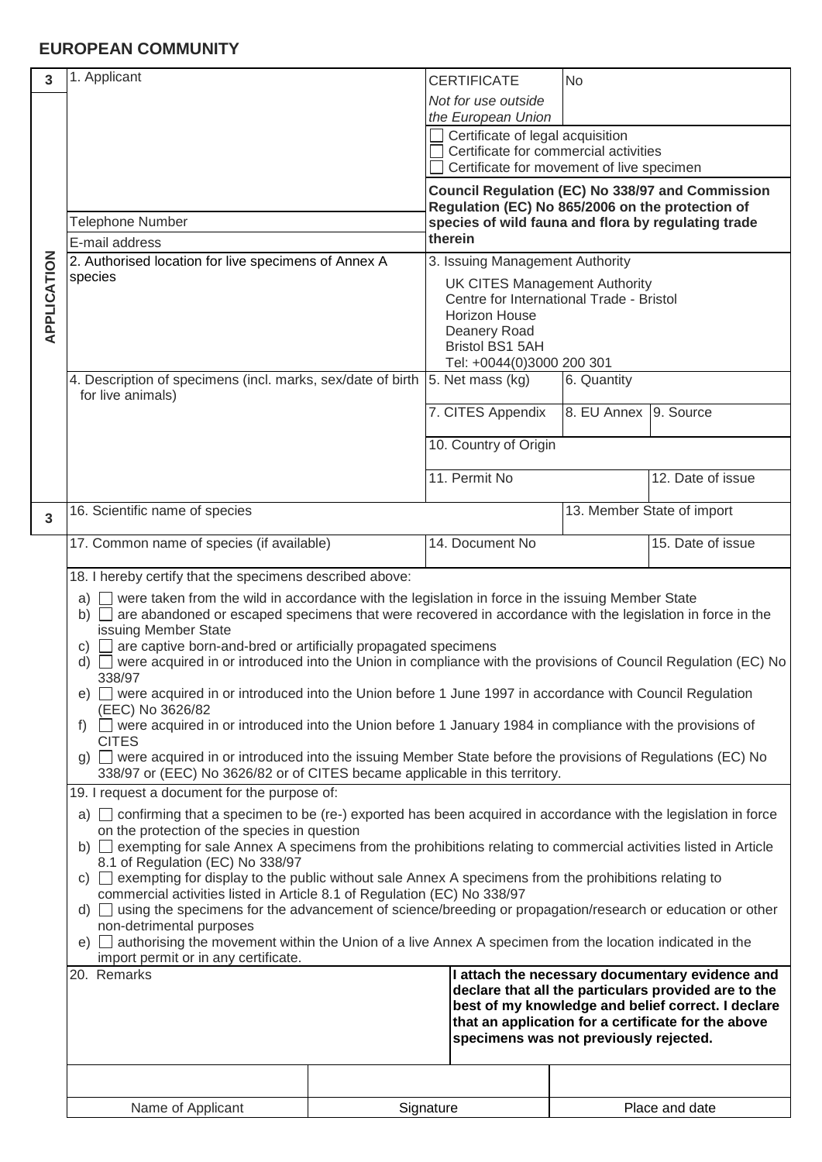## **EUROPEAN COMMUNITY**

| 3              | 1. Applicant                                                                                                                                                                                                                                                                                                                                                                                                                                                                                                                                                                                                                                                                                                                                                                                                                                                                                                                                                                                                                                                                                                                                                                                                                                                                                                                                                                                                                                                                                                                                                                                                                                                                                                                             |  | <b>CERTIFICATE</b>                                                                                                                                                 | <b>No</b>                             |                   |  |
|----------------|------------------------------------------------------------------------------------------------------------------------------------------------------------------------------------------------------------------------------------------------------------------------------------------------------------------------------------------------------------------------------------------------------------------------------------------------------------------------------------------------------------------------------------------------------------------------------------------------------------------------------------------------------------------------------------------------------------------------------------------------------------------------------------------------------------------------------------------------------------------------------------------------------------------------------------------------------------------------------------------------------------------------------------------------------------------------------------------------------------------------------------------------------------------------------------------------------------------------------------------------------------------------------------------------------------------------------------------------------------------------------------------------------------------------------------------------------------------------------------------------------------------------------------------------------------------------------------------------------------------------------------------------------------------------------------------------------------------------------------------|--|--------------------------------------------------------------------------------------------------------------------------------------------------------------------|---------------------------------------|-------------------|--|
|                |                                                                                                                                                                                                                                                                                                                                                                                                                                                                                                                                                                                                                                                                                                                                                                                                                                                                                                                                                                                                                                                                                                                                                                                                                                                                                                                                                                                                                                                                                                                                                                                                                                                                                                                                          |  | Not for use outside                                                                                                                                                |                                       |                   |  |
| APPLICATION    |                                                                                                                                                                                                                                                                                                                                                                                                                                                                                                                                                                                                                                                                                                                                                                                                                                                                                                                                                                                                                                                                                                                                                                                                                                                                                                                                                                                                                                                                                                                                                                                                                                                                                                                                          |  | the European Union<br>Certificate of legal acquisition                                                                                                             |                                       |                   |  |
|                |                                                                                                                                                                                                                                                                                                                                                                                                                                                                                                                                                                                                                                                                                                                                                                                                                                                                                                                                                                                                                                                                                                                                                                                                                                                                                                                                                                                                                                                                                                                                                                                                                                                                                                                                          |  |                                                                                                                                                                    | Certificate for commercial activities |                   |  |
|                |                                                                                                                                                                                                                                                                                                                                                                                                                                                                                                                                                                                                                                                                                                                                                                                                                                                                                                                                                                                                                                                                                                                                                                                                                                                                                                                                                                                                                                                                                                                                                                                                                                                                                                                                          |  | Certificate for movement of live specimen                                                                                                                          |                                       |                   |  |
|                |                                                                                                                                                                                                                                                                                                                                                                                                                                                                                                                                                                                                                                                                                                                                                                                                                                                                                                                                                                                                                                                                                                                                                                                                                                                                                                                                                                                                                                                                                                                                                                                                                                                                                                                                          |  | <b>Council Regulation (EC) No 338/97 and Commission</b><br>Regulation (EC) No 865/2006 on the protection of<br>species of wild fauna and flora by regulating trade |                                       |                   |  |
|                | <b>Telephone Number</b>                                                                                                                                                                                                                                                                                                                                                                                                                                                                                                                                                                                                                                                                                                                                                                                                                                                                                                                                                                                                                                                                                                                                                                                                                                                                                                                                                                                                                                                                                                                                                                                                                                                                                                                  |  |                                                                                                                                                                    |                                       |                   |  |
|                | E-mail address                                                                                                                                                                                                                                                                                                                                                                                                                                                                                                                                                                                                                                                                                                                                                                                                                                                                                                                                                                                                                                                                                                                                                                                                                                                                                                                                                                                                                                                                                                                                                                                                                                                                                                                           |  | therein                                                                                                                                                            |                                       |                   |  |
|                | 2. Authorised location for live specimens of Annex A<br>species                                                                                                                                                                                                                                                                                                                                                                                                                                                                                                                                                                                                                                                                                                                                                                                                                                                                                                                                                                                                                                                                                                                                                                                                                                                                                                                                                                                                                                                                                                                                                                                                                                                                          |  | 3. Issuing Management Authority<br><b>UK CITES Management Authority</b>                                                                                            |                                       |                   |  |
|                |                                                                                                                                                                                                                                                                                                                                                                                                                                                                                                                                                                                                                                                                                                                                                                                                                                                                                                                                                                                                                                                                                                                                                                                                                                                                                                                                                                                                                                                                                                                                                                                                                                                                                                                                          |  | Centre for International Trade - Bristol                                                                                                                           |                                       |                   |  |
|                |                                                                                                                                                                                                                                                                                                                                                                                                                                                                                                                                                                                                                                                                                                                                                                                                                                                                                                                                                                                                                                                                                                                                                                                                                                                                                                                                                                                                                                                                                                                                                                                                                                                                                                                                          |  | Horizon House<br>Deanery Road                                                                                                                                      |                                       |                   |  |
|                |                                                                                                                                                                                                                                                                                                                                                                                                                                                                                                                                                                                                                                                                                                                                                                                                                                                                                                                                                                                                                                                                                                                                                                                                                                                                                                                                                                                                                                                                                                                                                                                                                                                                                                                                          |  | Bristol BS1 5AH                                                                                                                                                    |                                       |                   |  |
|                |                                                                                                                                                                                                                                                                                                                                                                                                                                                                                                                                                                                                                                                                                                                                                                                                                                                                                                                                                                                                                                                                                                                                                                                                                                                                                                                                                                                                                                                                                                                                                                                                                                                                                                                                          |  | Tel: +0044(0)3000 200 301                                                                                                                                          |                                       |                   |  |
|                | 4. Description of specimens (incl. marks, sex/date of birth<br>for live animals)                                                                                                                                                                                                                                                                                                                                                                                                                                                                                                                                                                                                                                                                                                                                                                                                                                                                                                                                                                                                                                                                                                                                                                                                                                                                                                                                                                                                                                                                                                                                                                                                                                                         |  | 5. Net mass (kg)                                                                                                                                                   | 6. Quantity                           |                   |  |
|                |                                                                                                                                                                                                                                                                                                                                                                                                                                                                                                                                                                                                                                                                                                                                                                                                                                                                                                                                                                                                                                                                                                                                                                                                                                                                                                                                                                                                                                                                                                                                                                                                                                                                                                                                          |  | 7. CITES Appendix                                                                                                                                                  | 8. EU Annex 9. Source                 |                   |  |
|                |                                                                                                                                                                                                                                                                                                                                                                                                                                                                                                                                                                                                                                                                                                                                                                                                                                                                                                                                                                                                                                                                                                                                                                                                                                                                                                                                                                                                                                                                                                                                                                                                                                                                                                                                          |  | 10. Country of Origin                                                                                                                                              |                                       |                   |  |
|                |                                                                                                                                                                                                                                                                                                                                                                                                                                                                                                                                                                                                                                                                                                                                                                                                                                                                                                                                                                                                                                                                                                                                                                                                                                                                                                                                                                                                                                                                                                                                                                                                                                                                                                                                          |  | 11. Permit No                                                                                                                                                      |                                       | 12. Date of issue |  |
|                |                                                                                                                                                                                                                                                                                                                                                                                                                                                                                                                                                                                                                                                                                                                                                                                                                                                                                                                                                                                                                                                                                                                                                                                                                                                                                                                                                                                                                                                                                                                                                                                                                                                                                                                                          |  |                                                                                                                                                                    |                                       |                   |  |
| $\overline{3}$ | 16. Scientific name of species                                                                                                                                                                                                                                                                                                                                                                                                                                                                                                                                                                                                                                                                                                                                                                                                                                                                                                                                                                                                                                                                                                                                                                                                                                                                                                                                                                                                                                                                                                                                                                                                                                                                                                           |  |                                                                                                                                                                    | 13. Member State of import            |                   |  |
|                | 17. Common name of species (if available)                                                                                                                                                                                                                                                                                                                                                                                                                                                                                                                                                                                                                                                                                                                                                                                                                                                                                                                                                                                                                                                                                                                                                                                                                                                                                                                                                                                                                                                                                                                                                                                                                                                                                                |  | 14. Document No                                                                                                                                                    |                                       | 15. Date of issue |  |
|                | 18. I hereby certify that the specimens described above:<br>a) were taken from the wild in accordance with the legislation in force in the issuing Member State<br>b) $\Box$ are abandoned or escaped specimens that were recovered in accordance with the legislation in force in the<br>issuing Member State<br>are captive born-and-bred or artificially propagated specimens<br>C)<br>d) $\Box$ were acquired in or introduced into the Union in compliance with the provisions of Council Regulation (EC) No<br>338/97<br>e) were acquired in or introduced into the Union before 1 June 1997 in accordance with Council Regulation<br>(EEC) No 3626/82<br>$\Box$ were acquired in or introduced into the Union before 1 January 1984 in compliance with the provisions of<br>$f$ )<br><b>CITES</b><br>g) $\Box$ were acquired in or introduced into the issuing Member State before the provisions of Regulations (EC) No<br>338/97 or (EEC) No 3626/82 or of CITES became applicable in this territory.<br>19. I request a document for the purpose of:<br>a) confirming that a specimen to be (re-) exported has been acquired in accordance with the legislation in force<br>on the protection of the species in question<br>b) exempting for sale Annex A specimens from the prohibitions relating to commercial activities listed in Article<br>8.1 of Regulation (EC) No 338/97<br>$\Box$ exempting for display to the public without sale Annex A specimens from the prohibitions relating to<br>C)<br>commercial activities listed in Article 8.1 of Regulation (EC) No 338/97<br>d) using the specimens for the advancement of science/breeding or propagation/research or education or other<br>non-detrimental purposes |  |                                                                                                                                                                    |                                       |                   |  |
|                |                                                                                                                                                                                                                                                                                                                                                                                                                                                                                                                                                                                                                                                                                                                                                                                                                                                                                                                                                                                                                                                                                                                                                                                                                                                                                                                                                                                                                                                                                                                                                                                                                                                                                                                                          |  |                                                                                                                                                                    |                                       |                   |  |
|                |                                                                                                                                                                                                                                                                                                                                                                                                                                                                                                                                                                                                                                                                                                                                                                                                                                                                                                                                                                                                                                                                                                                                                                                                                                                                                                                                                                                                                                                                                                                                                                                                                                                                                                                                          |  |                                                                                                                                                                    |                                       |                   |  |
|                |                                                                                                                                                                                                                                                                                                                                                                                                                                                                                                                                                                                                                                                                                                                                                                                                                                                                                                                                                                                                                                                                                                                                                                                                                                                                                                                                                                                                                                                                                                                                                                                                                                                                                                                                          |  |                                                                                                                                                                    |                                       |                   |  |
|                |                                                                                                                                                                                                                                                                                                                                                                                                                                                                                                                                                                                                                                                                                                                                                                                                                                                                                                                                                                                                                                                                                                                                                                                                                                                                                                                                                                                                                                                                                                                                                                                                                                                                                                                                          |  |                                                                                                                                                                    |                                       |                   |  |
|                |                                                                                                                                                                                                                                                                                                                                                                                                                                                                                                                                                                                                                                                                                                                                                                                                                                                                                                                                                                                                                                                                                                                                                                                                                                                                                                                                                                                                                                                                                                                                                                                                                                                                                                                                          |  |                                                                                                                                                                    |                                       |                   |  |
|                |                                                                                                                                                                                                                                                                                                                                                                                                                                                                                                                                                                                                                                                                                                                                                                                                                                                                                                                                                                                                                                                                                                                                                                                                                                                                                                                                                                                                                                                                                                                                                                                                                                                                                                                                          |  |                                                                                                                                                                    |                                       |                   |  |
|                |                                                                                                                                                                                                                                                                                                                                                                                                                                                                                                                                                                                                                                                                                                                                                                                                                                                                                                                                                                                                                                                                                                                                                                                                                                                                                                                                                                                                                                                                                                                                                                                                                                                                                                                                          |  |                                                                                                                                                                    |                                       |                   |  |
|                |                                                                                                                                                                                                                                                                                                                                                                                                                                                                                                                                                                                                                                                                                                                                                                                                                                                                                                                                                                                                                                                                                                                                                                                                                                                                                                                                                                                                                                                                                                                                                                                                                                                                                                                                          |  |                                                                                                                                                                    |                                       |                   |  |
|                |                                                                                                                                                                                                                                                                                                                                                                                                                                                                                                                                                                                                                                                                                                                                                                                                                                                                                                                                                                                                                                                                                                                                                                                                                                                                                                                                                                                                                                                                                                                                                                                                                                                                                                                                          |  |                                                                                                                                                                    |                                       |                   |  |
|                |                                                                                                                                                                                                                                                                                                                                                                                                                                                                                                                                                                                                                                                                                                                                                                                                                                                                                                                                                                                                                                                                                                                                                                                                                                                                                                                                                                                                                                                                                                                                                                                                                                                                                                                                          |  |                                                                                                                                                                    |                                       |                   |  |
|                |                                                                                                                                                                                                                                                                                                                                                                                                                                                                                                                                                                                                                                                                                                                                                                                                                                                                                                                                                                                                                                                                                                                                                                                                                                                                                                                                                                                                                                                                                                                                                                                                                                                                                                                                          |  |                                                                                                                                                                    |                                       |                   |  |
|                |                                                                                                                                                                                                                                                                                                                                                                                                                                                                                                                                                                                                                                                                                                                                                                                                                                                                                                                                                                                                                                                                                                                                                                                                                                                                                                                                                                                                                                                                                                                                                                                                                                                                                                                                          |  |                                                                                                                                                                    |                                       |                   |  |
|                |                                                                                                                                                                                                                                                                                                                                                                                                                                                                                                                                                                                                                                                                                                                                                                                                                                                                                                                                                                                                                                                                                                                                                                                                                                                                                                                                                                                                                                                                                                                                                                                                                                                                                                                                          |  |                                                                                                                                                                    |                                       |                   |  |
|                |                                                                                                                                                                                                                                                                                                                                                                                                                                                                                                                                                                                                                                                                                                                                                                                                                                                                                                                                                                                                                                                                                                                                                                                                                                                                                                                                                                                                                                                                                                                                                                                                                                                                                                                                          |  |                                                                                                                                                                    |                                       |                   |  |
|                | e) authorising the movement within the Union of a live Annex A specimen from the location indicated in the<br>import permit or in any certificate.                                                                                                                                                                                                                                                                                                                                                                                                                                                                                                                                                                                                                                                                                                                                                                                                                                                                                                                                                                                                                                                                                                                                                                                                                                                                                                                                                                                                                                                                                                                                                                                       |  |                                                                                                                                                                    |                                       |                   |  |
|                | 20. Remarks<br>I attach the necessary documentary evidence and<br>declare that all the particulars provided are to the<br>best of my knowledge and belief correct. I declare<br>that an application for a certificate for the above<br>specimens was not previously rejected.                                                                                                                                                                                                                                                                                                                                                                                                                                                                                                                                                                                                                                                                                                                                                                                                                                                                                                                                                                                                                                                                                                                                                                                                                                                                                                                                                                                                                                                            |  |                                                                                                                                                                    |                                       |                   |  |
|                |                                                                                                                                                                                                                                                                                                                                                                                                                                                                                                                                                                                                                                                                                                                                                                                                                                                                                                                                                                                                                                                                                                                                                                                                                                                                                                                                                                                                                                                                                                                                                                                                                                                                                                                                          |  |                                                                                                                                                                    |                                       |                   |  |
|                |                                                                                                                                                                                                                                                                                                                                                                                                                                                                                                                                                                                                                                                                                                                                                                                                                                                                                                                                                                                                                                                                                                                                                                                                                                                                                                                                                                                                                                                                                                                                                                                                                                                                                                                                          |  |                                                                                                                                                                    |                                       |                   |  |
|                |                                                                                                                                                                                                                                                                                                                                                                                                                                                                                                                                                                                                                                                                                                                                                                                                                                                                                                                                                                                                                                                                                                                                                                                                                                                                                                                                                                                                                                                                                                                                                                                                                                                                                                                                          |  |                                                                                                                                                                    |                                       |                   |  |
|                |                                                                                                                                                                                                                                                                                                                                                                                                                                                                                                                                                                                                                                                                                                                                                                                                                                                                                                                                                                                                                                                                                                                                                                                                                                                                                                                                                                                                                                                                                                                                                                                                                                                                                                                                          |  |                                                                                                                                                                    |                                       |                   |  |
|                | Name of Applicant                                                                                                                                                                                                                                                                                                                                                                                                                                                                                                                                                                                                                                                                                                                                                                                                                                                                                                                                                                                                                                                                                                                                                                                                                                                                                                                                                                                                                                                                                                                                                                                                                                                                                                                        |  | Signature                                                                                                                                                          |                                       | Place and date    |  |